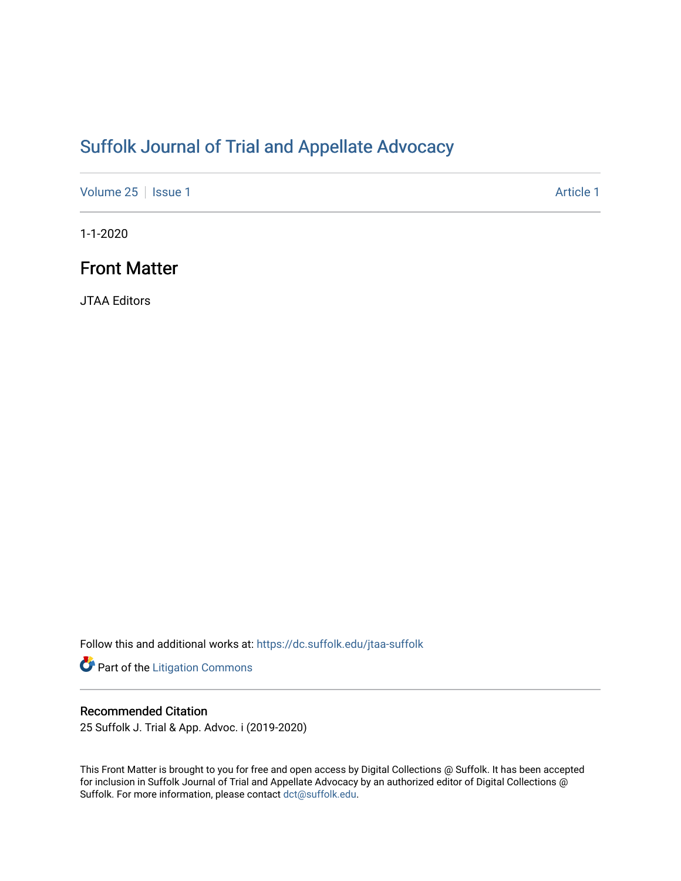# [Suffolk Journal of Trial and Appellate Advocacy](https://dc.suffolk.edu/jtaa-suffolk)

[Volume 25](https://dc.suffolk.edu/jtaa-suffolk/vol25) | [Issue 1](https://dc.suffolk.edu/jtaa-suffolk/vol25/iss1) Article 1

1-1-2020

## Front Matter

JTAA Editors

Follow this and additional works at: [https://dc.suffolk.edu/jtaa-suffolk](https://dc.suffolk.edu/jtaa-suffolk?utm_source=dc.suffolk.edu%2Fjtaa-suffolk%2Fvol25%2Fiss1%2F1&utm_medium=PDF&utm_campaign=PDFCoverPages) 

Part of the [Litigation Commons](http://network.bepress.com/hgg/discipline/910?utm_source=dc.suffolk.edu%2Fjtaa-suffolk%2Fvol25%2Fiss1%2F1&utm_medium=PDF&utm_campaign=PDFCoverPages)

#### Recommended Citation

25 Suffolk J. Trial & App. Advoc. i (2019-2020)

This Front Matter is brought to you for free and open access by Digital Collections @ Suffolk. It has been accepted for inclusion in Suffolk Journal of Trial and Appellate Advocacy by an authorized editor of Digital Collections @ Suffolk. For more information, please contact [dct@suffolk.edu.](mailto:dct@suffolk.edu)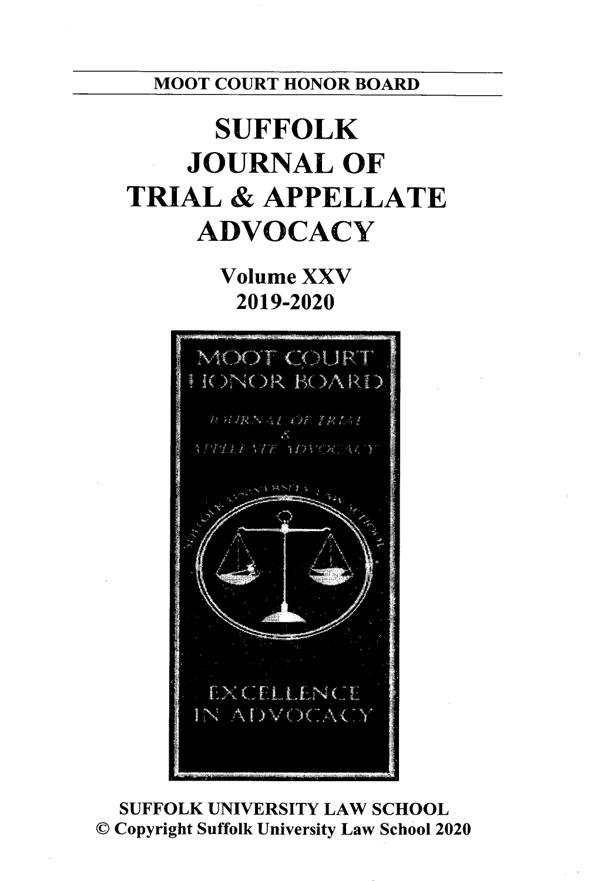MOOT **COURT** HONOR BOARD

# **SUFFOLK JOURNAL OF TRIAL & APPELLATE ADVOCACY**

**Volume XXV 2019-2020**



**SUFFOLK UNIVERSITY** LAW **SCHOOL ©** Copyright Suffolk University Law School 2020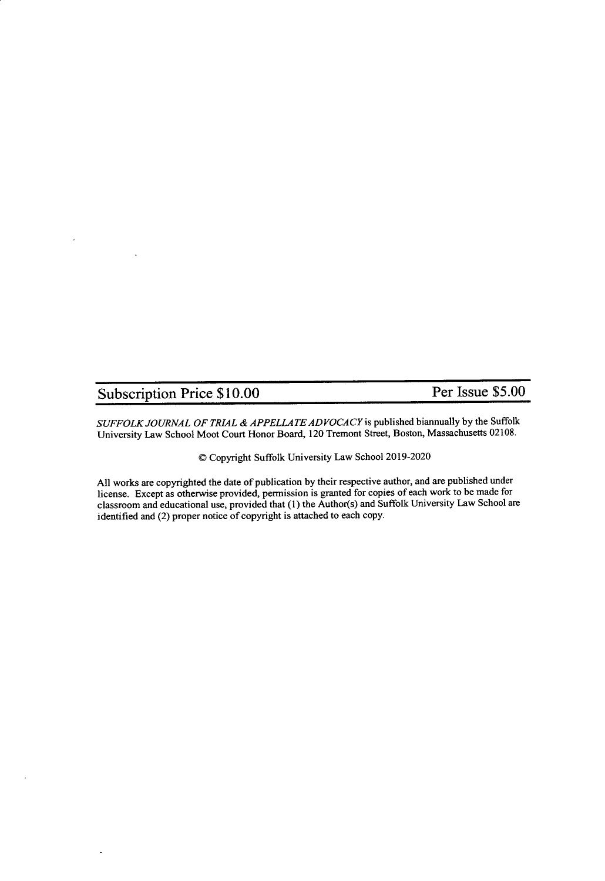## Subscription Price **\$10.00** Per Issue **\$5.00**

*SUFFOLK JOURNAL OF TRIAL & APPELLATE ADVOCACY* is published biannually by the Suffolk University Law School Moot Court Honor Board, 120 Tremont Street, Boston, Massachusetts 02108.

© Copyright Suffolk University Law School 2019-2020

All works are copyrighted the date of publication by their respective author, and are published under license. Except as otherwise provided, permission is granted for copies of each work to be made for classroom and educational use, provided that (1) the Author(s) and Suffolk University Law School are identified and (2) proper notice of copyright is attached to each copy.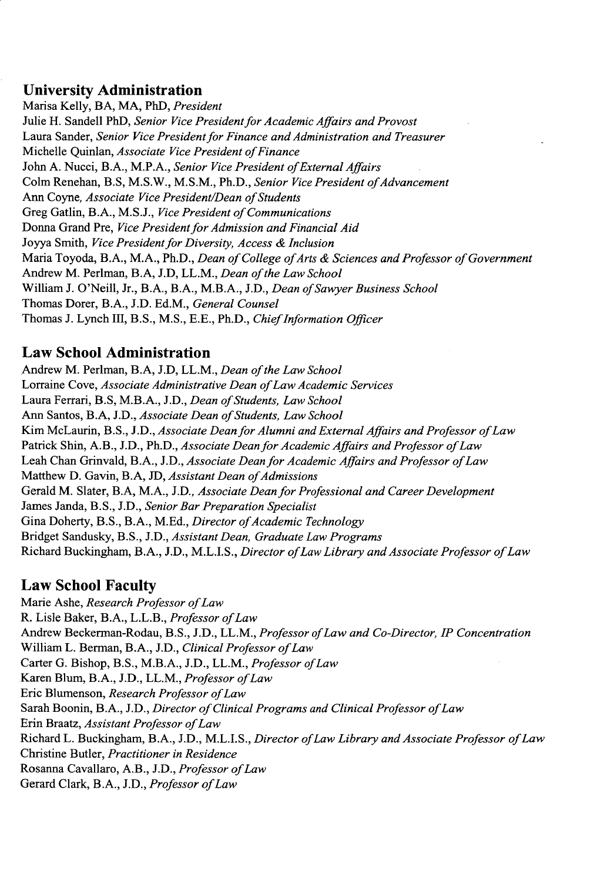### **University Administration**

Marisa Kelly, BA, **MA,** PhD, *President* Julie H. Sandell PhD, *Senior Vice President for Academic Affairs and Provost* Laura Sander, *Senior Vice President for Finance and Administration and Treasurer* Michelle Quinlan, *Associate Vice President of Finance* John **A.** Nucci, B.A., M.P.A., *Senior Vice President of External Affairs* Colm Renehan, B.S, M.S.W., M.S.M., Ph.D., *Senior Vice President of Advancement* Ann Coyne, *Associate Vice President/Dean of Students* Greg Gatlin, B.A., M.S.J., *Vice President of Communications* Donna Grand Pre, *Vice President for Admission and Financial Aid* Joyya Smith, *Vice President for Diversity, Access & Inclusion* Maria Toyoda, B.A., M.A., Ph.D., *Dean of College of Arts & Sciences and Professor of Government* Andrew M. Perlman, B.A, J.D, LL.M., *Dean of the Law School* William J. O'Neill, Jr., B.A., B.A., M.B.A., J.D., *Dean of Sawyer Business School* Thomas Dorer, B.A., J.D. Ed.M., *General Counsel* Thomas J. Lynch Il, B.S., M.S., E.E., Ph.D., *Chief Information Officer*

### **Law School Administration**

Andrew M. Perlman, B.A, J.D, LL.M., *Dean of the Law School* Lorraine Cove, *Associate Administrative Dean ofLaw Academic Services* Laura Ferrari, B.S, M.B.A., J.D., *Dean of Students, Law School* Ann Santos, B.A, J.D., *Associate Dean of Students, Law School* Kim McLaurin, B.S., J.D., *Associate Dean for Alumni and External Affairs and Professor ofLaw* Patrick Shin, A.B., J.D., Ph.D., *Associate Dean for Academic Affairs and Professor ofLaw* Leah Chan Grinvald, B.A., J.D., *Associate Dean for Academic Affairs and Professor of Law* Matthew D. Gavin, B.A, JD, Assistant Dean of Admissions Gerald M. Slater, B.A, M.A., J.D., *Associate Dean for Professional and Career Development* James Janda, B.S., J.D., *Senior Bar Preparation Specialist* Gina Doherty, B.S., B.A., M.Ed., *Director of Academic Technology* Bridget Sandusky, B.S., J.D., *Assistant Dean, Graduate Law Programs* Richard Buckingham, B.A., J.D., M.L.I.S., *Director ofLaw Library and Associate Professor ofLaw*

## **Law School Faculty**

Marie Ashe, *Research Professor ofLaw* R. Lisle Baker, B.A., L.L.B., *Professor of Law* Andrew Beckerman-Rodau, B.S., J.D., LL.M., *Professor of Law and Co-Director, IP Concentration* William L. Berman, B.A., J.D., *Clinical Professor of Law* Carter G. Bishop, B.S., M.B.A., J.D., LL.M., *Professor ofLaw* Karen Blum, B.A., J.D., LL.M., *Professor of Law* Eric Blumenson, *Research Professor of Law* Sarah Boonin, B.A., J.D., *Director of Clinical Programs and Clinical Professor ofLaw* Erin Braatz, *Assistant Professor ofLaw* Richard L. Buckingham, B.A., J.D., M.L.I.S., *Director of Law Library and Associate Professor of Law* Christine Butler, *Practitioner in Residence* Rosanna Cavallaro, A.B., J.D., *Professor of Law* Gerard Clark, B.A., J.D., *Professor of Law*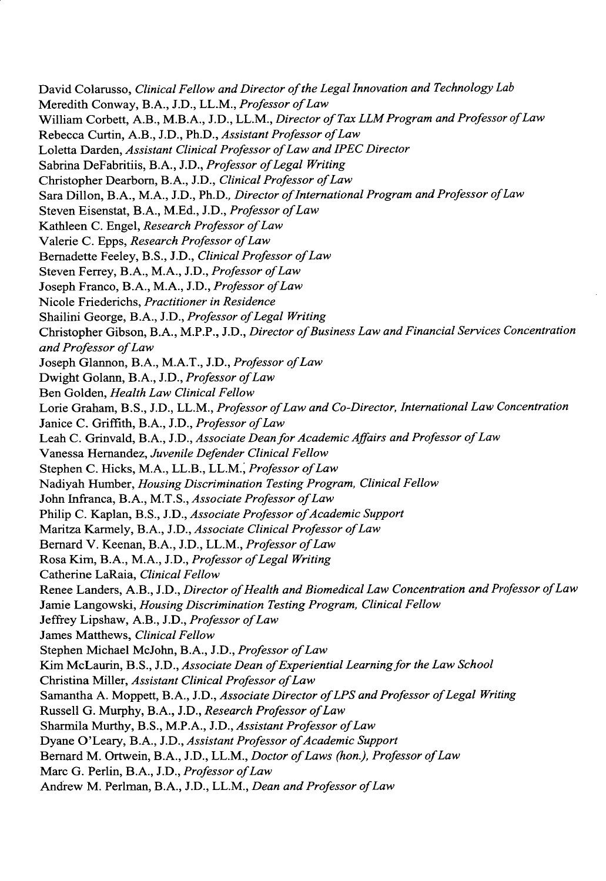David Colarusso, *Clinical Fellow and Director of the Legal Innovation and Technology Lab* Meredith Conway, B.A., J.D., LL.M., *Professor of Law* William Corbett, A.B., M.B.A., J.D., LL.M., *Director of Tax LLM Program and Professor of Law* Rebecca Curtin, A.B., J.D., Ph.D., *Assistant Professor of Law* Loletta Darden, *Assistant Clinical Professor of Law and IPEC Director* Sabrina DeFabritiis, B.A., J.D., *Professor of Legal Writing* Christopher Dearborn, B.A., J.D., *Clinical Professor of Law* Sara Dillon, B.A., M.A., J.D., Ph.D., *Director of International Program and Professor of Law* Steven Eisenstat, B.A., M.Ed., J.D., *Professor of Law* Kathleen C. Engel, *Research Professor of Law* Valerie C. Epps, *Research Professor of Law* Bernadette Feeley, B.S., J.D., *Clinical Professor of Law* Steven Ferrey, B.A., M.A., J.D., *Professor of Law* Joseph Franco, B.A., M.A., J.D., *Professor of Law* Nicole Friederichs, *Practitioner in Residence* Shailini George, B.A., J.D., *Professor of Legal Writing* Christopher Gibson, B.A., M.P.P., J.D., *Director of Business Law and Financial Services Concentration and Professor ofLaw* Joseph Glannon, B.A., M.A.T., J.D., *Professor of Law* Dwight Golann, B.A., J.D., *Professor of Law* Ben Golden, *Health Law Clinical Fellow* Lorie Graham, B.S., J.D., LL.M., *Professor of Law and Co-Director, International Law Concentration* Janice C. Griffith, B.A., J.D., *Professor of Law* Leah C. Grinvald, B.A., J.D., *Associate Dean for Academic Affairs and Professor of Law* Vanessa Hernandez, *Juvenile Defender Clinical Fellow* Stephen C. Hicks, M.A., LL.B., LL.M., *Professor of Law* Nadiyah Humber, *Housing Discrimination Testing Program, Clinical Fellow* John Infranca, B.A., M.T.S., *Associate Professor of Law* Philip C. Kaplan, B.S., J.D., *Associate Professor of Academic Support* Maritza Karmely, B.A., J.D., *Associate Clinical Professor of Law* Bernard V. Keenan, B.A., J.D., LL.M., *Professor of Law* Rosa Kim, B.A., M.A., J.D., *Professor of Legal Writing* Catherine LaRaia, *Clinical Fellow* Renee Landers, A.B., J.D., *Director of Health and Biomedical Law Concentration and Professor of Law* Jamie Langowski, *Housing Discrimination Testing Program, Clinical Fellow* Jeffrey Lipshaw, A.B., J.D., *Professor of Law* James Matthews, *Clinical Fellow* Stephen Michael McJohn, B.A., J.D., *Professor of Law* Kim McLaurin, B.S., J.D., *Associate Dean of Experiential Learning for the Law School* Christina Miller, *Assistant Clinical Professor of Law* Samantha A. Moppett, B.A., J.D., *Associate Director of LPS and Professor of Legal Writing* Russell G. Murphy, B.A., J.D., *Research Professor of Law* Sharmila Murthy, B.S., M.P.A., J.D., *Assistant Professor of Law* Dyane O'Leary, B.A., J.D., *Assistant Professor of Academic Support* Bernard M. Ortwein, B.A., J.D., LL.M., *Doctor of Laws (hon.), Professor of Law* Marc G. Perlin, B.A., J.D., *Professor of Law* Andrew M. Perlman, B.A., J.D., LL.M., *Dean and Professor of Law*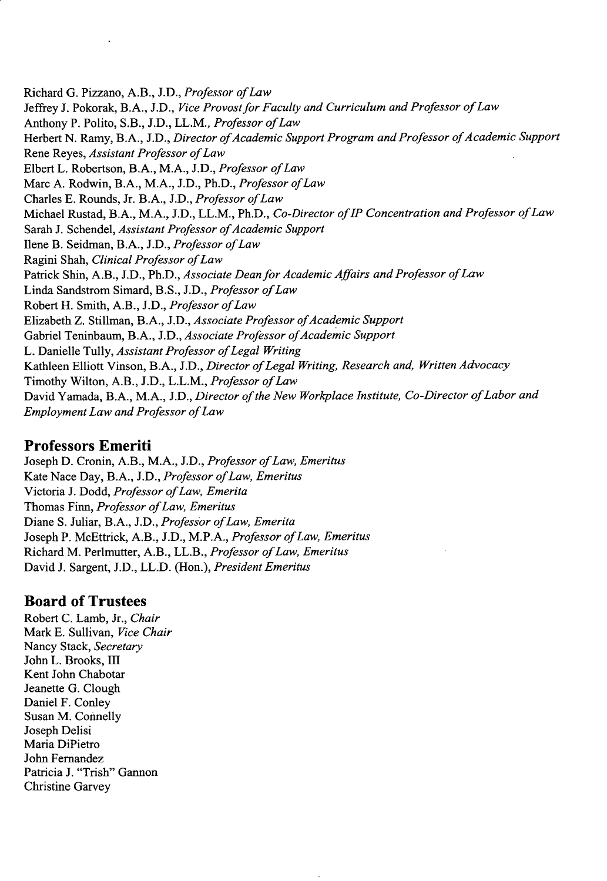Richard G. Pizzano, A.B., J.D., *Professor of Law* Jeffrey J. Pokorak, B.A., J.D., *Vice Provost for Faculty and Curriculum and Professor of Law* Anthony P. Polito, S.B., J.D., LL.M., *Professor of Law* Herbert N. Ramy, B.A., J.D., *Director of Academic Support Program and Professor of Academic Support* Rene Reyes, *Assistant Professor ofLaw* Elbert L. Robertson, B.A., M.A., J.D., *Professor of Law* Marc A. Rodwin, B.A., M.A., J.D., Ph.D., *Professor of Law* Charles E. Rounds, Jr. B.A., J.D., *Professor of Law* Michael Rustad, B.A., M.A., J.D., LL.M., Ph.D., *Co-Director of IP Concentration and Professor of Law* Sarah J. Schendel, *Assistant Professor of Academic Support* Ilene B. Seidman, B.A., J.D., *Professor of Law* Ragini Shah, *Clinical Professor of Law* Patrick Shin, A.B., J.D., Ph.D., *Associate Dean for Academic Affairs and Professor of Law* Linda Sandstrom Simard, B.S., J.D., *Professor of Law* Robert H. Smith, A.B., J.D., *Professor of Law* Elizabeth Z. Stillman, B.A., J.D., *Associate Professor of Academic Support* Gabriel Teninbaum, B.A., J.D., *Associate Professor of Academic Support* L. Danielle Tully, *Assistant Professor of Legal Writing* Kathleen Elliott Vinson, B.A., J.D., *Director of Legal Writing, Research and, Written Advocacy* Timothy Wilton, A.B., J.D., L.L.M., *Professor of Law* David Yamada, B.A., M.A., J.D., *Director of the New Workplace Institute, Co-Director of Labor and Employment Law and Professor ofLaw*

#### **Professors Emeriti**

Joseph **D.** Cronin, A.B., M.A., **J.D.,** *Professor of Law, Emeritus* Kate Nace Day, B.A., **J.D.,** *Professor of Law, Emeritus* Victoria **J.** Dodd, *Professor of Law, Emerita* Thomas Finn, *Professor of Law, Emeritus* Diane **S.** Juliar, B.A., **J.D.,** *Professor of Law, Emerita* Joseph P. McEttrick, A.B., **J.D.,** M.P.A., *Professor of Law, Emeritus* Richard M. Perlmutter, A.B., LL.B., *Professor of Law, Emeritus* David **J.** Sargent, **J.D.,** LL.D. (Hon.), *President Emeritus*

#### **Board of Trustees**

Robert **C.** Lamb, Jr., *Chair* Mark **E.** Sullivan, *Vice Chair* Nancy Stack, *Secretary* John L. Brooks, **III** Kent John Chabotar Jeanette G. Clough Daniel F. Conley Susan M. Connelly Joseph Delisi Maria DiPietro John Fernandez Patricia J. "Trish" Gannon Christine Garvey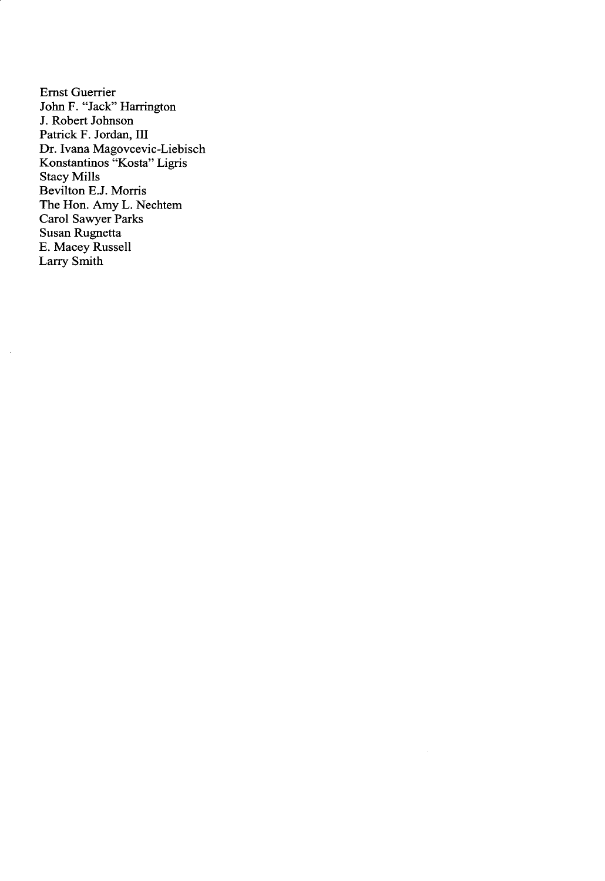Ernst Guerrier John F. "Jack" Harrington **J.** Robert Johnson Patrick F. Jordan, **III** Dr. Ivana Magovcevic-Liebisch Konstantinos "Kosta" Ligris Stacy Mills Bevilton **E.J.** Morris The Hon. Amy L. Nechtem Carol Sawyer Parks Susan Rugnetta **E.** Macey Russell Larry Smith